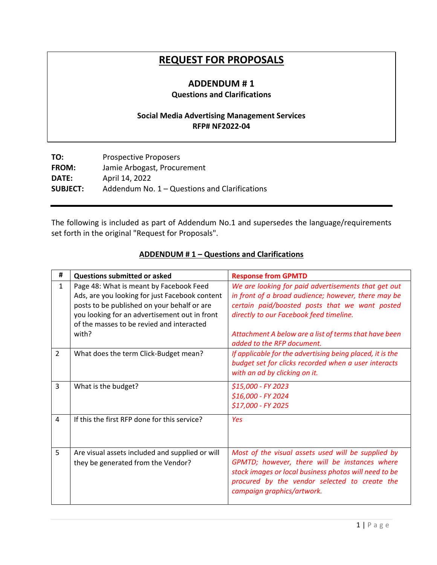# **REQUEST FOR PROPOSALS**

#### **ADDENDUM # 1 Questions and Clarifications**

### **Social Media Advertising Management Services RFP# NF2022-04**

| <b>Prospective Proposers</b>                    |  |
|-------------------------------------------------|--|
| Jamie Arbogast, Procurement                     |  |
| April 14, 2022                                  |  |
| Addendum No. $1 -$ Questions and Clarifications |  |
|                                                 |  |

The following is included as part of Addendum No.1 and supersedes the language/requirements set forth in the original "Request for Proposals".

### **ADDENDUM # 1 – Questions and Clarifications**

| #              | <b>Questions submitted or asked</b>                                                                                                                                                                                                             | <b>Response from GPMTD</b>                                                                                                                                                                                                                                       |
|----------------|-------------------------------------------------------------------------------------------------------------------------------------------------------------------------------------------------------------------------------------------------|------------------------------------------------------------------------------------------------------------------------------------------------------------------------------------------------------------------------------------------------------------------|
| $\mathbf{1}$   | Page 48: What is meant by Facebook Feed<br>Ads, are you looking for just Facebook content<br>posts to be published on your behalf or are<br>you looking for an advertisement out in front<br>of the masses to be revied and interacted<br>with? | We are looking for paid advertisements that get out<br>in front of a broad audience; however, there may be<br>certain paid/boosted posts that we want posted<br>directly to our Facebook feed timeline.<br>Attachment A below are a list of terms that have been |
|                |                                                                                                                                                                                                                                                 | added to the RFP document.                                                                                                                                                                                                                                       |
| $\overline{2}$ | What does the term Click-Budget mean?                                                                                                                                                                                                           | If applicable for the advertising being placed, it is the<br>budget set for clicks recorded when a user interacts<br>with an ad by clicking on it.                                                                                                               |
| 3              | What is the budget?                                                                                                                                                                                                                             | \$15,000 - FY 2023<br>\$16,000 - FY 2024<br>\$17,000 - FY 2025                                                                                                                                                                                                   |
| 4              | If this the first RFP done for this service?                                                                                                                                                                                                    | Yes                                                                                                                                                                                                                                                              |
| 5              | Are visual assets included and supplied or will<br>they be generated from the Vendor?                                                                                                                                                           | Most of the visual assets used will be supplied by<br>GPMTD; however, there will be instances where<br>stock images or local business photos will need to be<br>procured by the vendor selected to create the<br>campaign graphics/artwork.                      |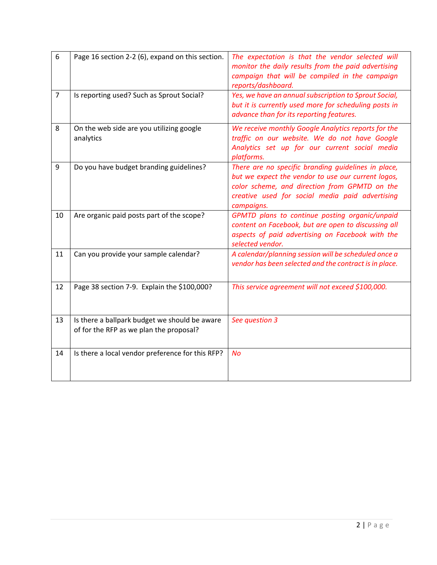| 6              | Page 16 section 2-2 (6), expand on this section.                                         | The expectation is that the vendor selected will<br>monitor the daily results from the paid advertising<br>campaign that will be compiled in the campaign<br>reports/dashboard.                                             |
|----------------|------------------------------------------------------------------------------------------|-----------------------------------------------------------------------------------------------------------------------------------------------------------------------------------------------------------------------------|
| $\overline{7}$ | Is reporting used? Such as Sprout Social?                                                | Yes, we have an annual subscription to Sprout Social,<br>but it is currently used more for scheduling posts in<br>advance than for its reporting features.                                                                  |
| 8              | On the web side are you utilizing google<br>analytics                                    | We receive monthly Google Analytics reports for the<br>traffic on our website. We do not have Google<br>Analytics set up for our current social media<br>platforms.                                                         |
| 9              | Do you have budget branding guidelines?                                                  | There are no specific branding guidelines in place,<br>but we expect the vendor to use our current logos,<br>color scheme, and direction from GPMTD on the<br>creative used for social media paid advertising<br>campaigns. |
| 10             | Are organic paid posts part of the scope?                                                | GPMTD plans to continue posting organic/unpaid<br>content on Facebook, but are open to discussing all<br>aspects of paid advertising on Facebook with the<br>selected vendor.                                               |
| 11             | Can you provide your sample calendar?                                                    | A calendar/planning session will be scheduled once a<br>vendor has been selected and the contract is in place.                                                                                                              |
| 12             | Page 38 section 7-9. Explain the \$100,000?                                              | This service agreement will not exceed \$100,000.                                                                                                                                                                           |
| 13             | Is there a ballpark budget we should be aware<br>of for the RFP as we plan the proposal? | See question 3                                                                                                                                                                                                              |
| 14             | Is there a local vendor preference for this RFP?                                         | <b>No</b>                                                                                                                                                                                                                   |